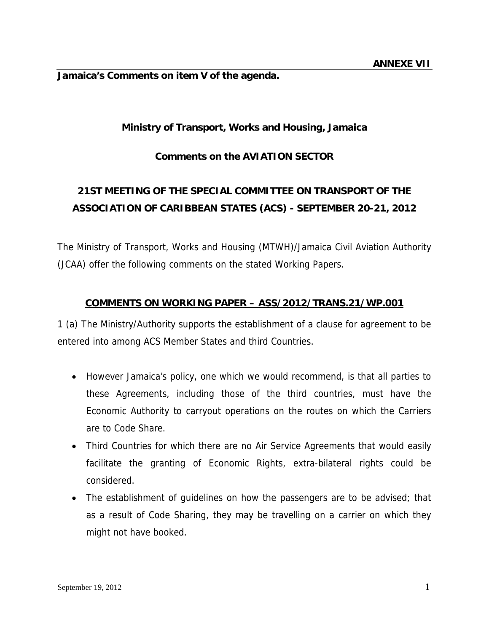**Jamaica's Comments on item V of the agenda.** 

## **Ministry of Transport, Works and Housing, Jamaica**

### **Comments on the AVIATION SECTOR**

# **21ST MEETING OF THE SPECIAL COMMITTEE ON TRANSPORT OF THE ASSOCIATION OF CARIBBEAN STATES (ACS) - SEPTEMBER 20-21, 2012**

The Ministry of Transport, Works and Housing (MTWH)/Jamaica Civil Aviation Authority (JCAA) offer the following comments on the stated Working Papers.

#### **COMMENTS ON WORKING PAPER – ASS/2012/TRANS.21/WP.001**

1 (a) The Ministry/Authority supports the establishment of a clause for agreement to be entered into among ACS Member States and third Countries.

- However Jamaica's policy, one which we would recommend, is that all parties to these Agreements, including those of the third countries, must have the Economic Authority to carryout operations on the routes on which the Carriers are to Code Share.
- Third Countries for which there are no Air Service Agreements that would easily facilitate the granting of Economic Rights, extra-bilateral rights could be considered.
- The establishment of guidelines on how the passengers are to be advised; that as a result of Code Sharing, they may be travelling on a carrier on which they might not have booked.